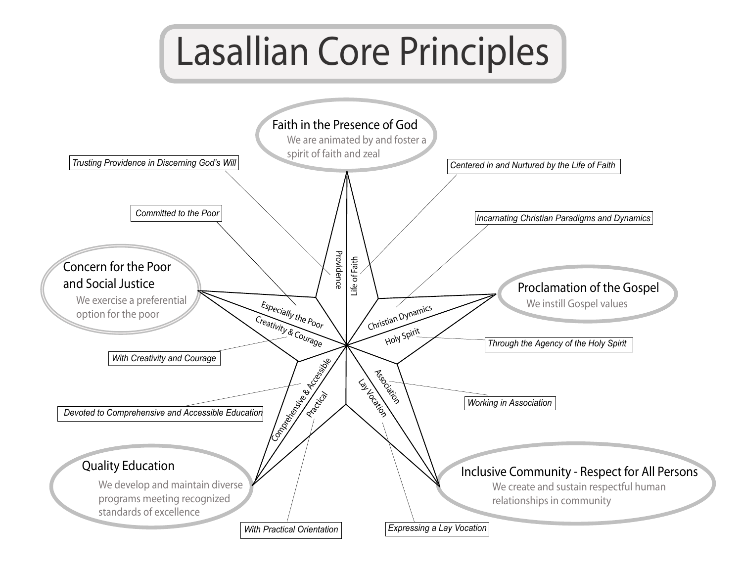## Lasallian Core Principles